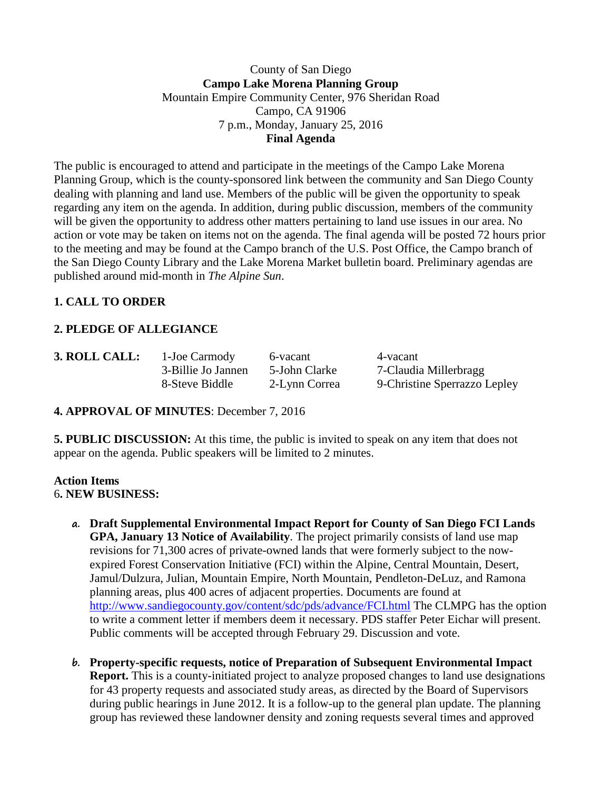### County of San Diego **Campo Lake Morena Planning Group** Mountain Empire Community Center, 976 Sheridan Road Campo, CA 91906 7 p.m., Monday, January 25, 2016 **Final Agenda**

The public is encouraged to attend and participate in the meetings of the Campo Lake Morena Planning Group, which is the county-sponsored link between the community and San Diego County dealing with planning and land use. Members of the public will be given the opportunity to speak regarding any item on the agenda. In addition, during public discussion, members of the community will be given the opportunity to address other matters pertaining to land use issues in our area. No action or vote may be taken on items not on the agenda. The final agenda will be posted 72 hours prior to the meeting and may be found at the Campo branch of the U.S. Post Office, the Campo branch of the San Diego County Library and the Lake Morena Market bulletin board. Preliminary agendas are published around mid-month in *The Alpine Sun*.

# **1. CALL TO ORDER**

## **2. PLEDGE OF ALLEGIANCE**

**3. ROLL CALL:** 1-Joe Carmody 6-vacant 4-vacant

3-Billie Jo Jannen 5-John Clarke 7-Claudia Millerbragg 8-Steve Biddle 2-Lynn Correa 9-Christine Sperrazzo Lepley

**4. APPROVAL OF MINUTES**: December 7, 2016

**5. PUBLIC DISCUSSION:** At this time, the public is invited to speak on any item that does not appear on the agenda. Public speakers will be limited to 2 minutes.

#### **Action Items** 6**. NEW BUSINESS:**

- **a. Draft Supplemental Environmental Impact Report for County of San Diego FCI Lands GPA, January 13 Notice of Availability**. The project primarily consists of land use map revisions for 71,300 acres of private-owned lands that were formerly subject to the nowexpired Forest Conservation Initiative (FCI) within the Alpine, Central Mountain, Desert, Jamul/Dulzura, Julian, Mountain Empire, North Mountain, Pendleton-DeLuz, and Ramona planning areas, plus 400 acres of adjacent properties. Documents are found at <http://www.sandiegocounty.gov/content/sdc/pds/advance/FCI.html> The CLMPG has the option to write a comment letter if members deem it necessary. PDS staffer Peter Eichar will present. Public comments will be accepted through February 29. Discussion and vote.
- **b. Property-specific requests, notice of Preparation of Subsequent Environmental Impact Report.** This is a county-initiated project to analyze proposed changes to land use designations for 43 property requests and associated study areas, as directed by the Board of Supervisors during public hearings in June 2012. It is a follow-up to the general plan update. The planning group has reviewed these landowner density and zoning requests several times and approved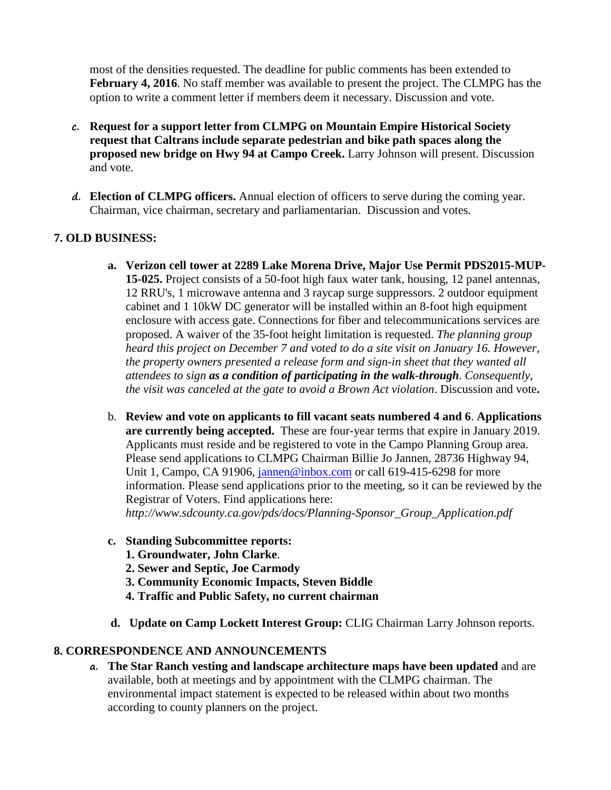most of the densities requested. The deadline for public comments has been extended to **February 4, 2016**. No staff member was available to present the project. The CLMPG has the option to write a comment letter if members deem it necessary. Discussion and vote.

- **c. Request for a support letter from CLMPG on Mountain Empire Historical Society request that Caltrans include separate pedestrian and bike path spaces along the proposed new bridge on Hwy 94 at Campo Creek.** Larry Johnson will present. Discussion and vote.
- **d. Election of CLMPG officers.** Annual election of officers to serve during the coming year. Chairman, vice chairman, secretary and parliamentarian. Discussion and votes.

## **7. OLD BUSINESS:**

- **a. Verizon cell tower at 2289 Lake Morena Drive, Major Use Permit PDS2015-MUP-15-025.** Project consists of a 50-foot high faux water tank, housing, 12 panel antennas, 12 RRU's, 1 microwave antenna and 3 raycap surge suppressors. 2 outdoor equipment cabinet and 1 10kW DC generator will be installed within an 8-foot high equipment enclosure with access gate. Connections for fiber and telecommunications services are proposed. A waiver of the 35-foot height limitation is requested. *The planning group heard this project on December 7 and voted to do a site visit on January 16. However, the property owners presented a release form and sign-in sheet that they wanted all attendees to sign as a condition of participating in the walk-through. Consequently, the visit was canceled at the gate to avoid a Brown Act violation*. Discussion and vote**.**
- b. **Review and vote on applicants to fill vacant seats numbered 4 and 6**. **Applications are currently being accepted.** These are four-year terms that expire in January 2019. Applicants must reside and be registered to vote in the Campo Planning Group area. Please send applications to CLMPG Chairman Billie Jo Jannen, 28736 Highway 94, Unit 1, Campo, CA 91906, [jannen@inbox.com](mailto:campojoe@yahoo.com) or call 619-415-6298 for more information. Please send applications prior to the meeting, so it can be reviewed by the Registrar of Voters. Find applications here: *http://www.sdcounty.ca.gov/pds/docs/Planning-Sponsor\_Group\_Application.pdf*
- **c. Standing Subcommittee reports:**
	- **1. Groundwater, John Clarke**.
	- **2. Sewer and Septic, Joe Carmody**
	- **3. Community Economic Impacts, Steven Biddle**
	- **4. Traffic and Public Safety, no current chairman**
- **d. Update on Camp Lockett Interest Group:** CLIG Chairman Larry Johnson reports.

### **8. CORRESPONDENCE AND ANNOUNCEMENTS**

**a. The Star Ranch vesting and landscape architecture maps have been updated** and are available, both at meetings and by appointment with the CLMPG chairman. The environmental impact statement is expected to be released within about two months according to county planners on the project.